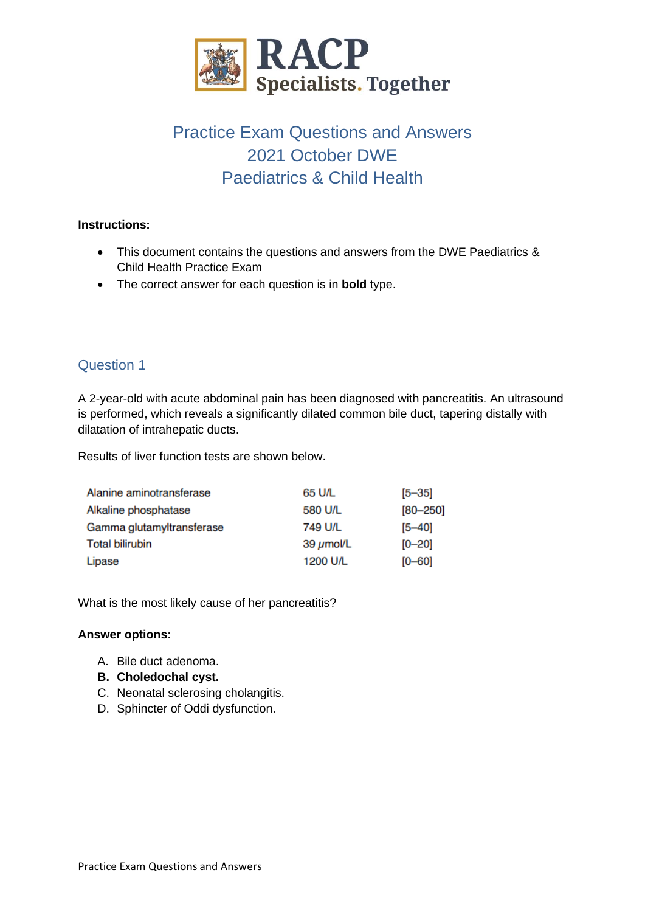

# Practice Exam Questions and Answers 2021 October DWE Paediatrics & Child Health

### **Instructions:**

- This document contains the questions and answers from the DWE Paediatrics & Child Health Practice Exam
- The correct answer for each question is in **bold** type.

# Question 1

A 2-year-old with acute abdominal pain has been diagnosed with pancreatitis. An ultrasound is performed, which reveals a significantly dilated common bile duct, tapering distally with dilatation of intrahepatic ducts.

Results of liver function tests are shown below.

| Alanine aminotransferase  | 65 U/L         | $[5 - 35]$   |
|---------------------------|----------------|--------------|
| Alkaline phosphatase      | 580 U/L        | $[80 - 250]$ |
| Gamma glutamyltransferase | 749 U/L        | $[5 - 40]$   |
| <b>Total bilirubin</b>    | 39 $\mu$ mol/L | $[0 - 20]$   |
| Lipase                    | 1200 U/L       | $[0 - 60]$   |

What is the most likely cause of her pancreatitis?

- A. Bile duct adenoma.
- **B. Choledochal cyst.**
- C. Neonatal sclerosing cholangitis.
- D. Sphincter of Oddi dysfunction.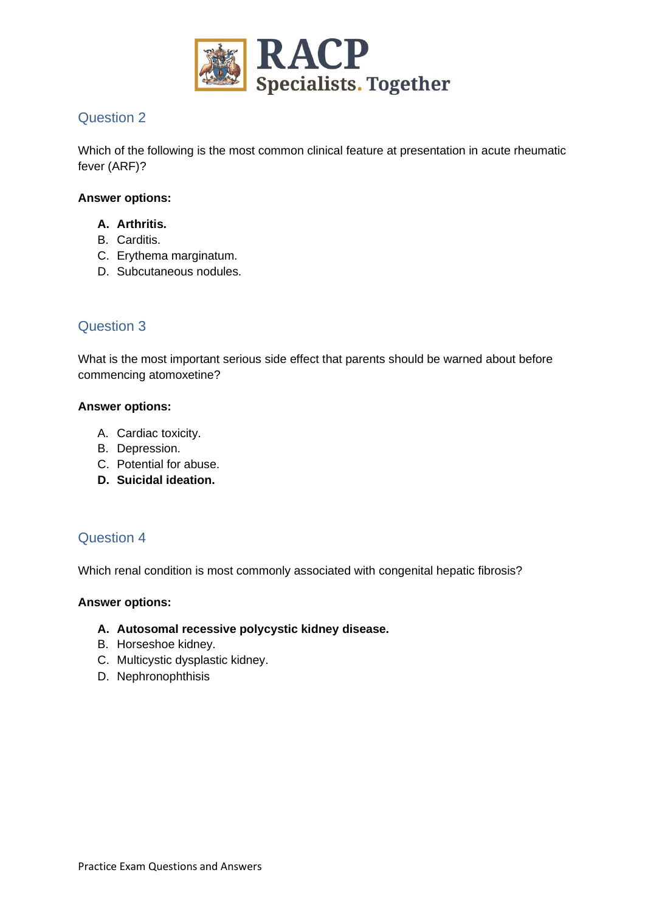

Which of the following is the most common clinical feature at presentation in acute rheumatic fever (ARF)?

### **Answer options:**

- **A. Arthritis.**
- B. Carditis.
- C. Erythema marginatum.
- D. Subcutaneous nodules.

# Question 3

What is the most important serious side effect that parents should be warned about before commencing atomoxetine?

#### **Answer options:**

- A. Cardiac toxicity.
- B. Depression.
- C. Potential for abuse.
- **D. Suicidal ideation.**

### Question 4

Which renal condition is most commonly associated with congenital hepatic fibrosis?

#### **Answer options:**

#### **A. Autosomal recessive polycystic kidney disease.**

- B. Horseshoe kidney.
- C. Multicystic dysplastic kidney.
- D. Nephronophthisis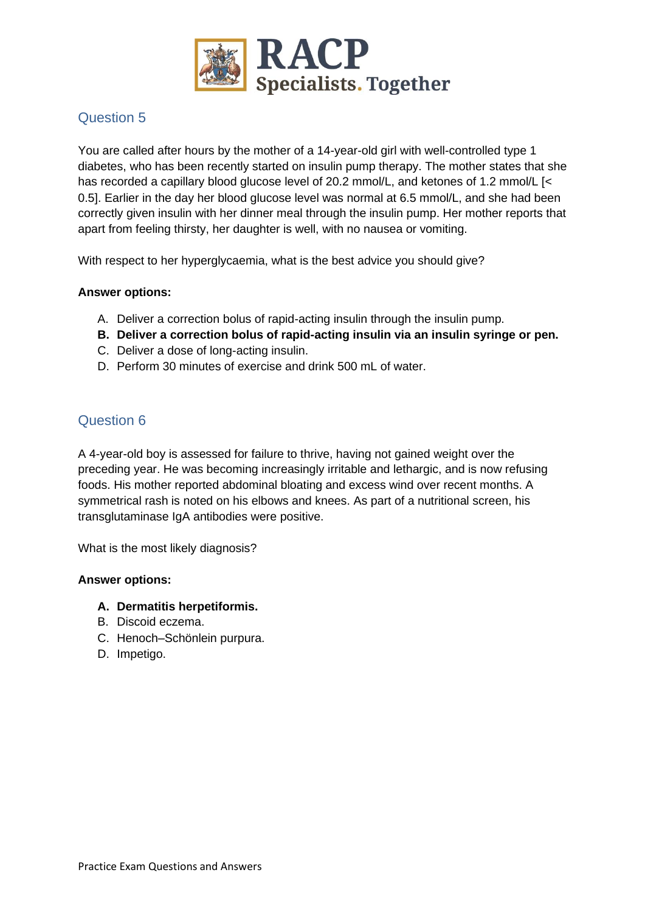

You are called after hours by the mother of a 14-year-old girl with well-controlled type 1 diabetes, who has been recently started on insulin pump therapy. The mother states that she has recorded a capillary blood glucose level of 20.2 mmol/L, and ketones of 1.2 mmol/L [< 0.5]. Earlier in the day her blood glucose level was normal at 6.5 mmol/L, and she had been correctly given insulin with her dinner meal through the insulin pump. Her mother reports that apart from feeling thirsty, her daughter is well, with no nausea or vomiting.

With respect to her hyperglycaemia, what is the best advice you should give?

### **Answer options:**

- A. Deliver a correction bolus of rapid-acting insulin through the insulin pump.
- **B. Deliver a correction bolus of rapid-acting insulin via an insulin syringe or pen.**
- C. Deliver a dose of long-acting insulin.
- D. Perform 30 minutes of exercise and drink 500 mL of water.

# Question 6

A 4-year-old boy is assessed for failure to thrive, having not gained weight over the preceding year. He was becoming increasingly irritable and lethargic, and is now refusing foods. His mother reported abdominal bloating and excess wind over recent months. A symmetrical rash is noted on his elbows and knees. As part of a nutritional screen, his transglutaminase IgA antibodies were positive.

What is the most likely diagnosis?

- **A. Dermatitis herpetiformis.**
- B. Discoid eczema.
- C. Henoch–Schönlein purpura.
- D. Impetigo.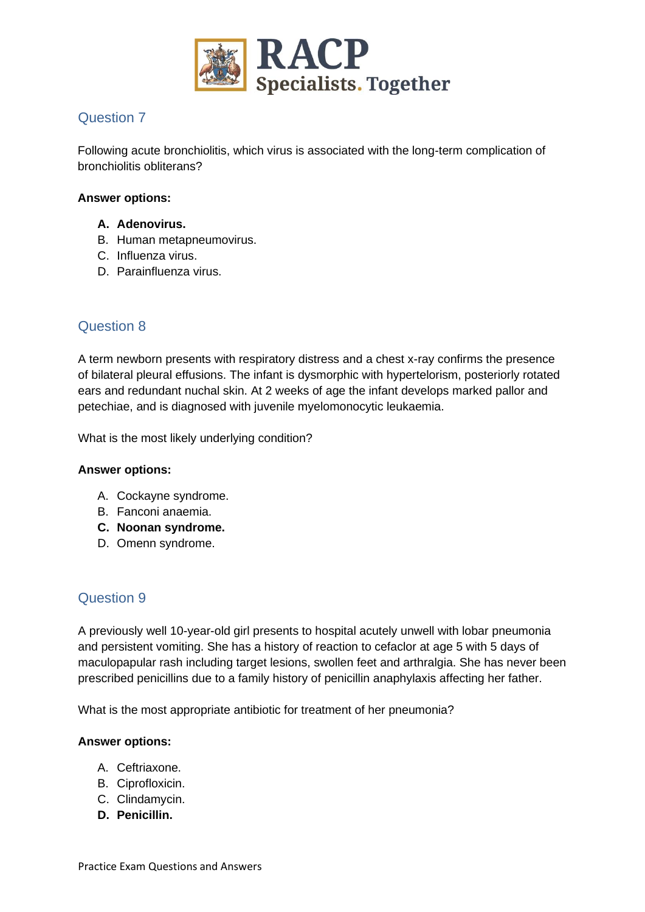

Following acute bronchiolitis, which virus is associated with the long-term complication of bronchiolitis obliterans?

#### **Answer options:**

- **A. Adenovirus.**
- B. Human metapneumovirus.
- C. Influenza virus.
- D. Parainfluenza virus.

# Question 8

A term newborn presents with respiratory distress and a chest x-ray confirms the presence of bilateral pleural effusions. The infant is dysmorphic with hypertelorism, posteriorly rotated ears and redundant nuchal skin. At 2 weeks of age the infant develops marked pallor and petechiae, and is diagnosed with juvenile myelomonocytic leukaemia.

What is the most likely underlying condition?

#### **Answer options:**

- A. Cockayne syndrome.
- B. Fanconi anaemia.
- **C. Noonan syndrome.**
- D. Omenn syndrome.

# Question 9

A previously well 10-year-old girl presents to hospital acutely unwell with lobar pneumonia and persistent vomiting. She has a history of reaction to cefaclor at age 5 with 5 days of maculopapular rash including target lesions, swollen feet and arthralgia. She has never been prescribed penicillins due to a family history of penicillin anaphylaxis affecting her father.

What is the most appropriate antibiotic for treatment of her pneumonia?

- A. Ceftriaxone.
- B. Ciprofloxicin.
- C. Clindamycin.
- **D. Penicillin.**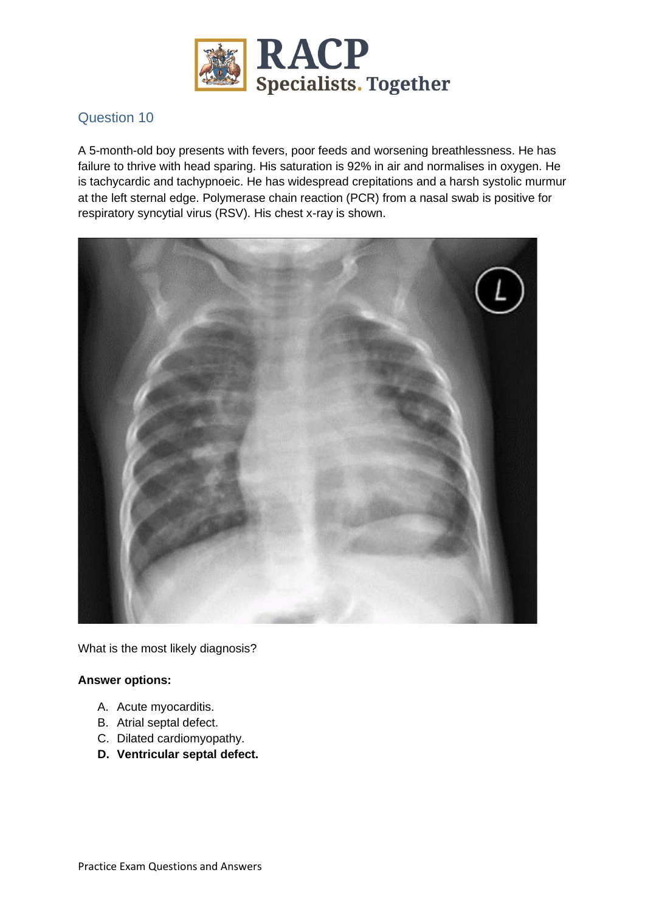

A 5-month-old boy presents with fevers, poor feeds and worsening breathlessness. He has failure to thrive with head sparing. His saturation is 92% in air and normalises in oxygen. He is tachycardic and tachypnoeic. He has widespread crepitations and a harsh systolic murmur at the left sternal edge. Polymerase chain reaction (PCR) from a nasal swab is positive for respiratory syncytial virus (RSV). His chest x-ray is shown.



What is the most likely diagnosis?

- A. Acute myocarditis.
- B. Atrial septal defect.
- C. Dilated cardiomyopathy.
- **D. Ventricular septal defect.**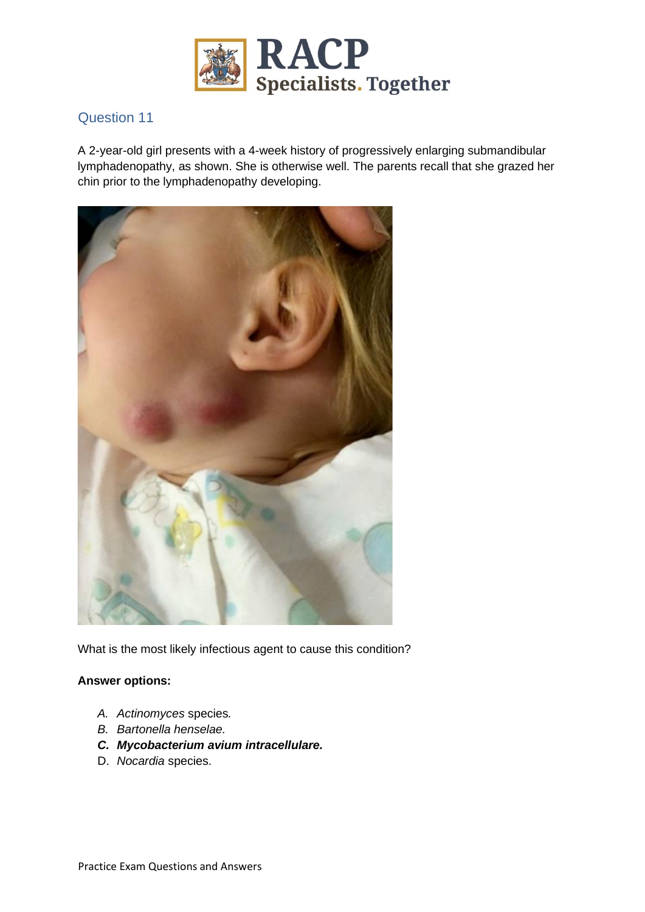

A 2-year-old girl presents with a 4-week history of progressively enlarging submandibular lymphadenopathy, as shown. She is otherwise well. The parents recall that she grazed her chin prior to the lymphadenopathy developing.



What is the most likely infectious agent to cause this condition?

- *A. Actinomyces* species*.*
- *B. Bartonella henselae.*
- *C. Mycobacterium avium intracellulare.*
- D. *Nocardia* species.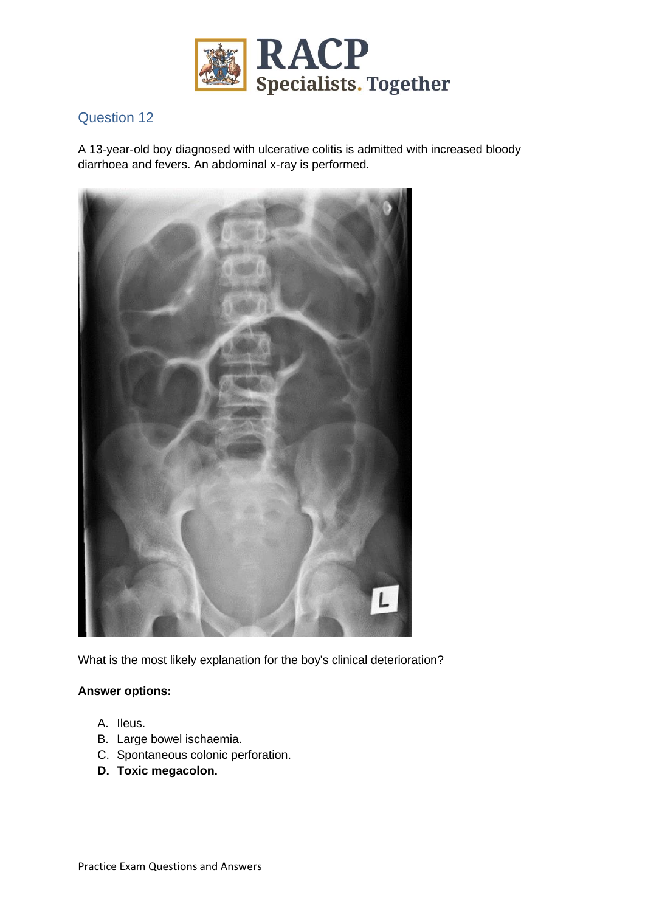

A 13-year-old boy diagnosed with ulcerative colitis is admitted with increased bloody diarrhoea and fevers. An abdominal x-ray is performed.



What is the most likely explanation for the boy's clinical deterioration?

- A. Ileus.
- B. Large bowel ischaemia.
- C. Spontaneous colonic perforation.
- **D. Toxic megacolon.**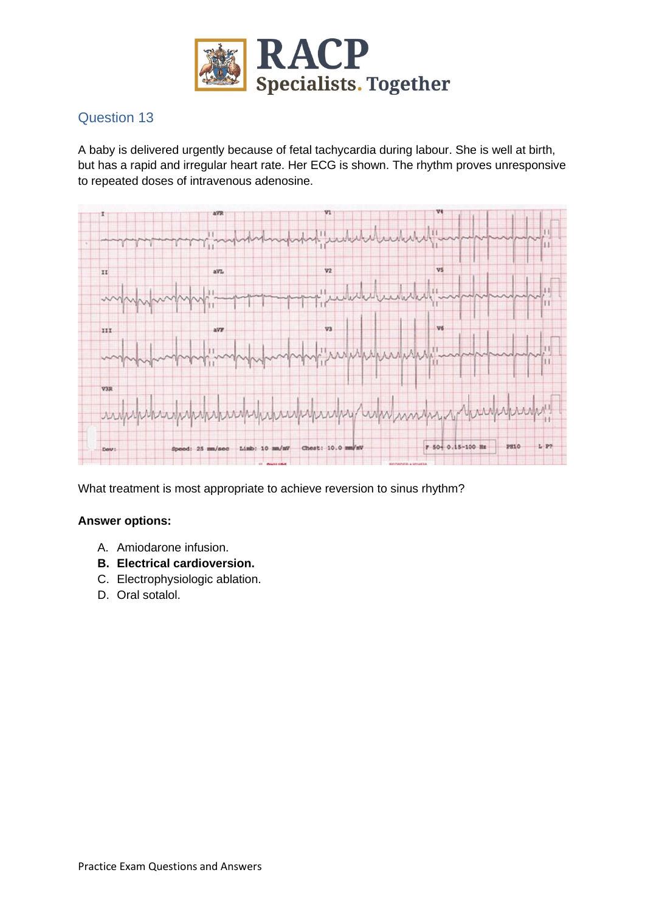

A baby is delivered urgently because of fetal tachycardia during labour. She is well at birth, but has a rapid and irregular heart rate. Her ECG is shown. The rhythm proves unresponsive to repeated doses of intravenous adenosine.



What treatment is most appropriate to achieve reversion to sinus rhythm?

- A. Amiodarone infusion.
- **B. Electrical cardioversion.**
- C. Electrophysiologic ablation.
- D. Oral sotalol.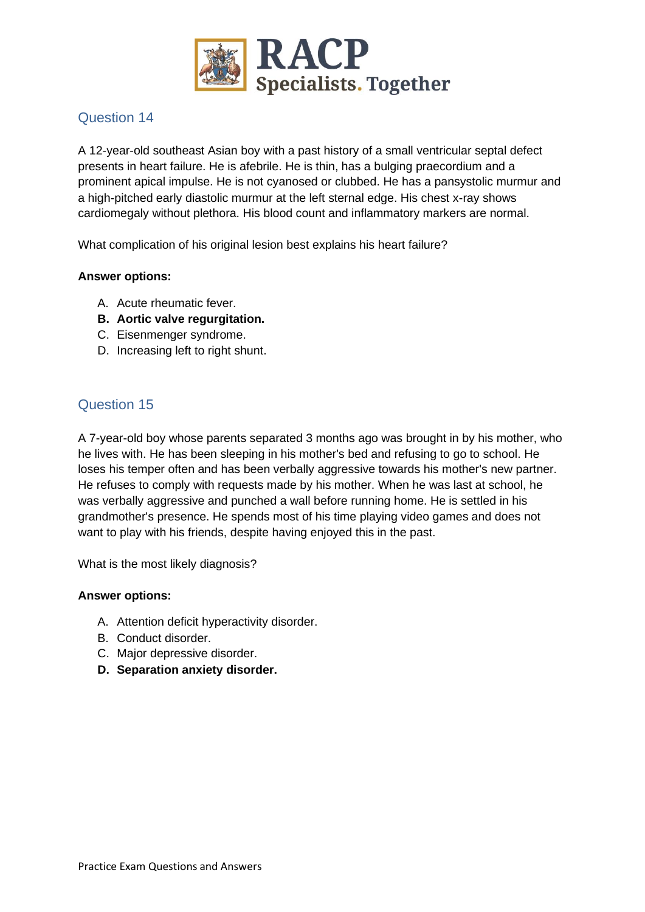

A 12-year-old southeast Asian boy with a past history of a small ventricular septal defect presents in heart failure. He is afebrile. He is thin, has a bulging praecordium and a prominent apical impulse. He is not cyanosed or clubbed. He has a pansystolic murmur and a high-pitched early diastolic murmur at the left sternal edge. His chest x-ray shows cardiomegaly without plethora. His blood count and inflammatory markers are normal.

What complication of his original lesion best explains his heart failure?

### **Answer options:**

- A. Acute rheumatic fever.
- **B. Aortic valve regurgitation.**
- C. Eisenmenger syndrome.
- D. Increasing left to right shunt.

# Question 15

A 7-year-old boy whose parents separated 3 months ago was brought in by his mother, who he lives with. He has been sleeping in his mother's bed and refusing to go to school. He loses his temper often and has been verbally aggressive towards his mother's new partner. He refuses to comply with requests made by his mother. When he was last at school, he was verbally aggressive and punched a wall before running home. He is settled in his grandmother's presence. He spends most of his time playing video games and does not want to play with his friends, despite having enjoyed this in the past.

What is the most likely diagnosis?

- A. Attention deficit hyperactivity disorder.
- B. Conduct disorder.
- C. Major depressive disorder.
- **D. Separation anxiety disorder.**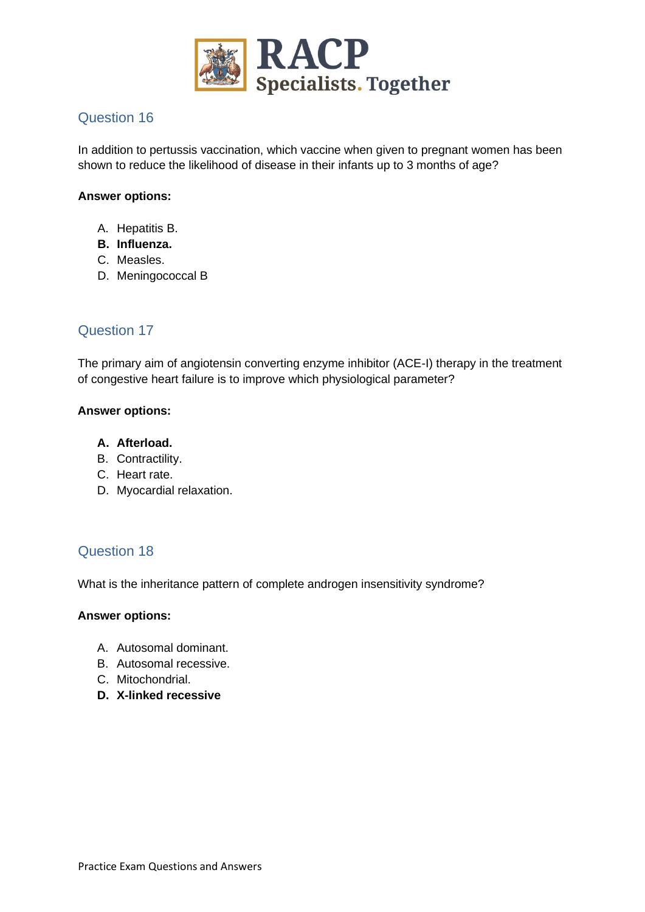

In addition to pertussis vaccination, which vaccine when given to pregnant women has been shown to reduce the likelihood of disease in their infants up to 3 months of age?

#### **Answer options:**

- A. Hepatitis B.
- **B. Influenza.**
- C. Measles.
- D. Meningococcal B

# Question 17

The primary aim of angiotensin converting enzyme inhibitor (ACE-I) therapy in the treatment of congestive heart failure is to improve which physiological parameter?

#### **Answer options:**

### **A. Afterload.**

- B. Contractility.
- C. Heart rate.
- D. Myocardial relaxation.

# Question 18

What is the inheritance pattern of complete androgen insensitivity syndrome?

- A. Autosomal dominant.
- B. Autosomal recessive.
- C. Mitochondrial.
- **D. X-linked recessive**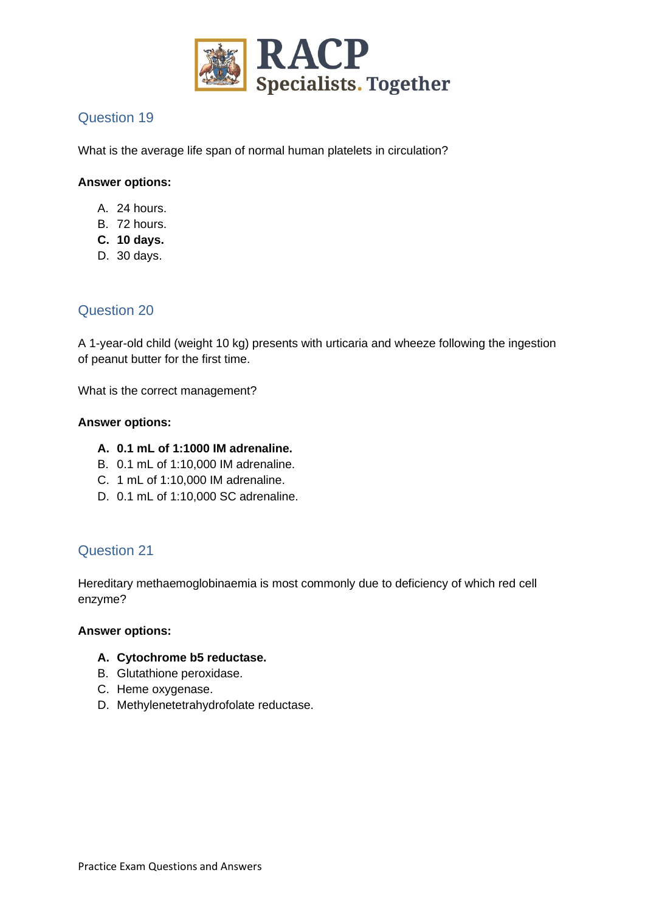

What is the average life span of normal human platelets in circulation?

### **Answer options:**

- A. 24 hours.
- B. 72 hours.
- **C. 10 days.**
- D. 30 days.

# Question 20

A 1-year-old child (weight 10 kg) presents with urticaria and wheeze following the ingestion of peanut butter for the first time.

What is the correct management?

#### **Answer options:**

### **A. 0.1 mL of 1:1000 IM adrenaline.**

- B. 0.1 mL of 1:10,000 IM adrenaline.
- C. 1 mL of 1:10,000 IM adrenaline.
- D. 0.1 mL of 1:10,000 SC adrenaline.

# Question 21

Hereditary methaemoglobinaemia is most commonly due to deficiency of which red cell enzyme?

#### **Answer options:**

### **A. Cytochrome b5 reductase.**

- B. Glutathione peroxidase.
- C. Heme oxygenase.
- D. Methylenetetrahydrofolate reductase.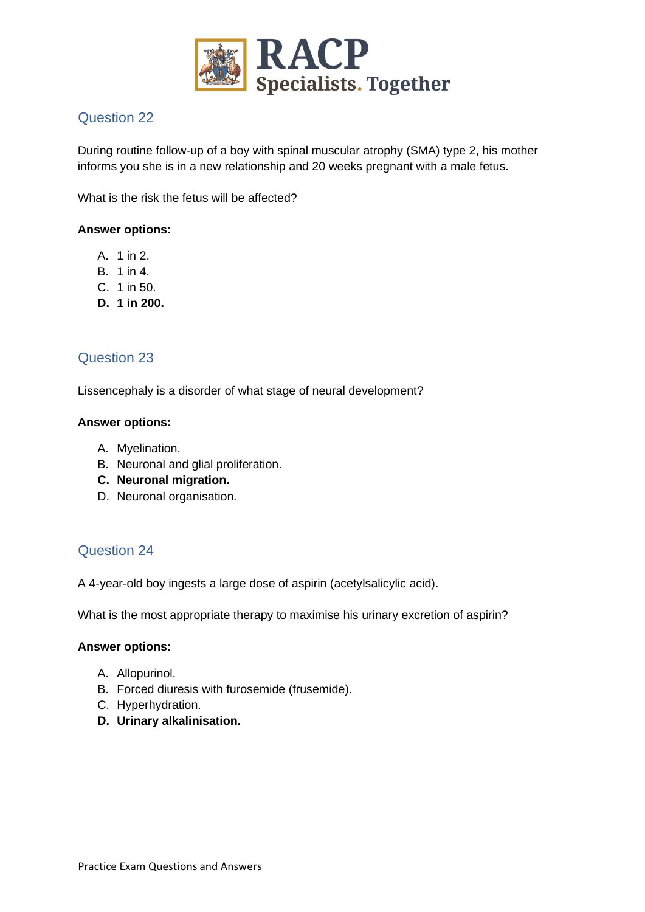

During routine follow-up of a boy with spinal muscular atrophy (SMA) type 2, his mother informs you she is in a new relationship and 20 weeks pregnant with a male fetus.

What is the risk the fetus will be affected?

#### **Answer options:**

- A. 1 in 2.
- B. 1 in 4.
- C. 1 in 50.
- **D. 1 in 200.**

### Question 23

Lissencephaly is a disorder of what stage of neural development?

#### **Answer options:**

- A. Myelination.
- B. Neuronal and glial proliferation.
- **C. Neuronal migration.**
- D. Neuronal organisation.

# Question 24

A 4-year-old boy ingests a large dose of aspirin (acetylsalicylic acid).

What is the most appropriate therapy to maximise his urinary excretion of aspirin?

- A. Allopurinol.
- B. Forced diuresis with furosemide (frusemide).
- C. Hyperhydration.
- **D. Urinary alkalinisation.**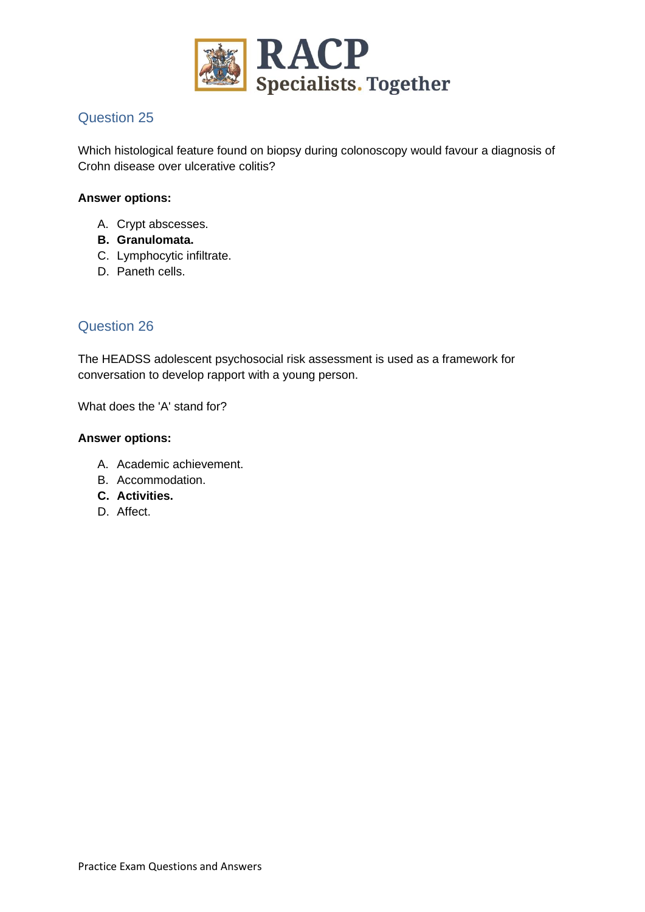

Which histological feature found on biopsy during colonoscopy would favour a diagnosis of Crohn disease over ulcerative colitis?

### **Answer options:**

- A. Crypt abscesses.
- **B. Granulomata.**
- C. Lymphocytic infiltrate.
- D. Paneth cells.

# Question 26

The HEADSS adolescent psychosocial risk assessment is used as a framework for conversation to develop rapport with a young person.

What does the 'A' stand for?

- A. Academic achievement.
- B. Accommodation.
- **C. Activities.**
- D. Affect.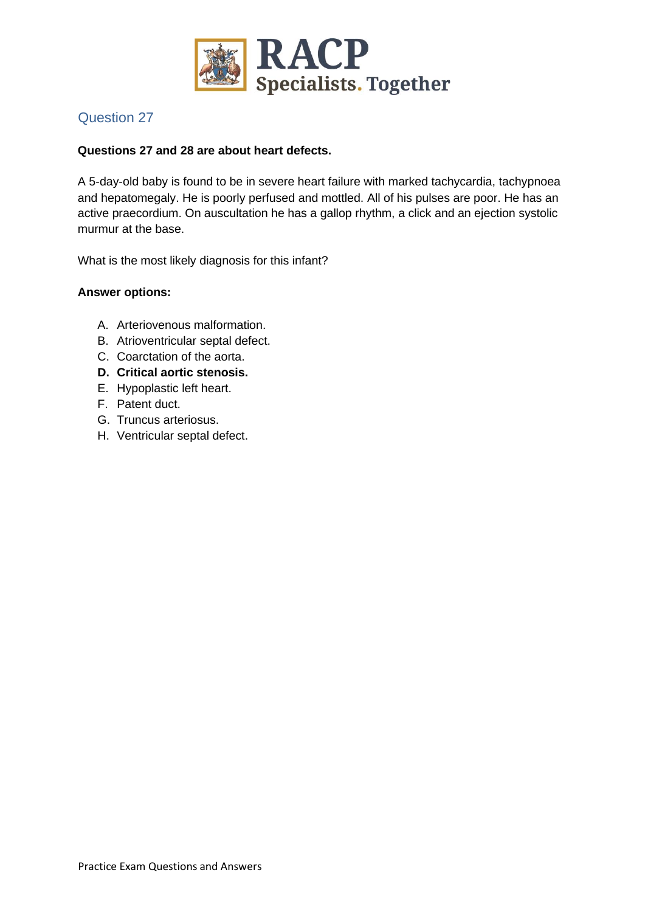

### **Questions 27 and 28 are about heart defects.**

A 5-day-old baby is found to be in severe heart failure with marked tachycardia, tachypnoea and hepatomegaly. He is poorly perfused and mottled. All of his pulses are poor. He has an active praecordium. On auscultation he has a gallop rhythm, a click and an ejection systolic murmur at the base.

What is the most likely diagnosis for this infant?

- A. Arteriovenous malformation.
- B. Atrioventricular septal defect.
- C. Coarctation of the aorta.
- **D. Critical aortic stenosis.**
- E. Hypoplastic left heart.
- F. Patent duct.
- G. Truncus arteriosus.
- H. Ventricular septal defect.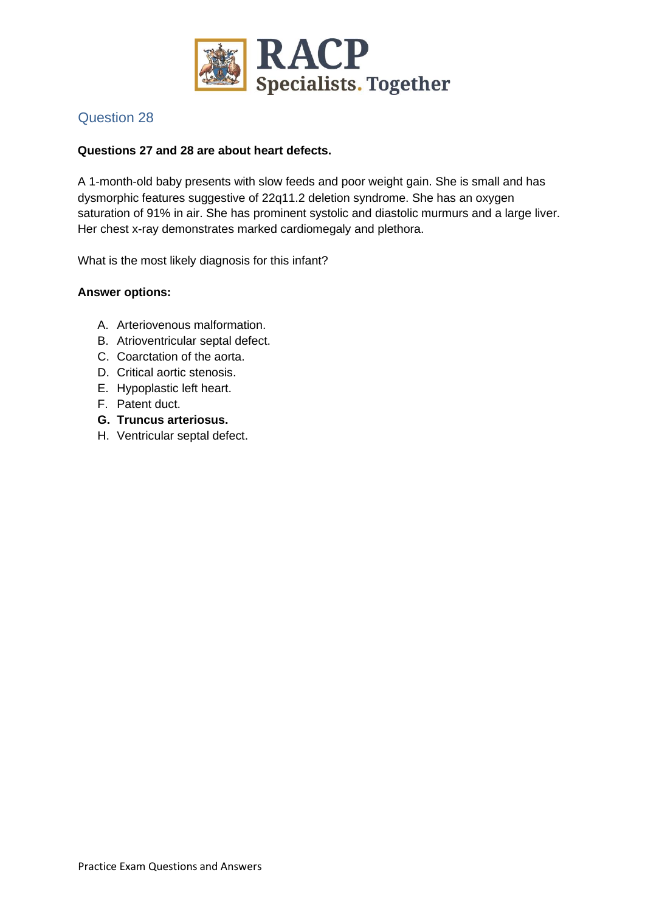

### **Questions 27 and 28 are about heart defects.**

A 1-month-old baby presents with slow feeds and poor weight gain. She is small and has dysmorphic features suggestive of 22q11.2 deletion syndrome. She has an oxygen saturation of 91% in air. She has prominent systolic and diastolic murmurs and a large liver. Her chest x-ray demonstrates marked cardiomegaly and plethora.

What is the most likely diagnosis for this infant?

- A. Arteriovenous malformation.
- B. Atrioventricular septal defect.
- C. Coarctation of the aorta.
- D. Critical aortic stenosis.
- E. Hypoplastic left heart.
- F. Patent duct.
- **G. Truncus arteriosus.**
- H. Ventricular septal defect.